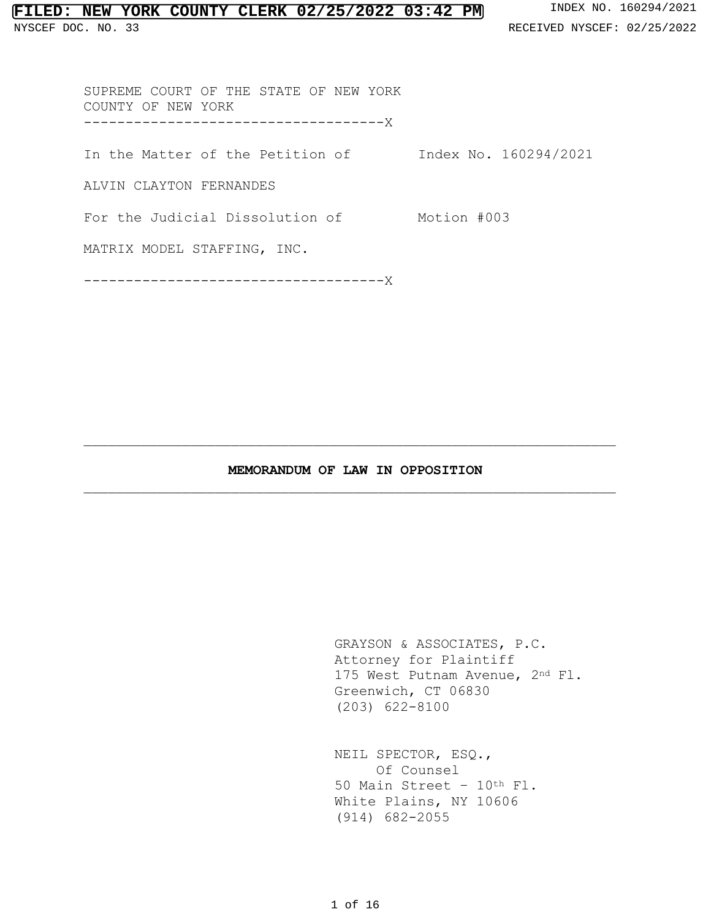# **FILED: NEW YORK COUNTY CLERK 02/25/2022 03:42 PM** INDEX NO. 160294/2021

NYSCEF DOC. NO. 33 **RECEIVED NYSCEF: 02/25/2022** 

SUPREME COURT OF THE STATE OF NEW YORK COUNTY OF NEW YORK ------------------------------------X

In the Matter of the Petition of Index No. 160294/2021

ALVIN CLAYTON FERNANDES

For the Judicial Dissolution of Motion #003

MATRIX MODEL STAFFING, INC.

------------------------------------X

## **MEMORANDUM OF LAW IN OPPOSITION**   $\_$  ,  $\_$  ,  $\_$  ,  $\_$  ,  $\_$  ,  $\_$  ,  $\_$  ,  $\_$  ,  $\_$  ,  $\_$  ,  $\_$  ,  $\_$  ,  $\_$  ,  $\_$  ,  $\_$  ,  $\_$  ,  $\_$  ,  $\_$  ,  $\_$  ,  $\_$

 $\_$  ,  $\_$  ,  $\_$  ,  $\_$  ,  $\_$  ,  $\_$  ,  $\_$  ,  $\_$  ,  $\_$  ,  $\_$  ,  $\_$  ,  $\_$  ,  $\_$  ,  $\_$  ,  $\_$  ,  $\_$  ,  $\_$  ,  $\_$  ,  $\_$  ,  $\_$ 

 GRAYSON & ASSOCIATES, P.C. Attorney for Plaintiff 175 West Putnam Avenue, 2nd Fl. Greenwich, CT 06830 (203) 622-8100

NEIL SPECTOR, ESQ., Of Counsel 50 Main Street – 10th Fl. White Plains, NY 10606 (914) 682-2055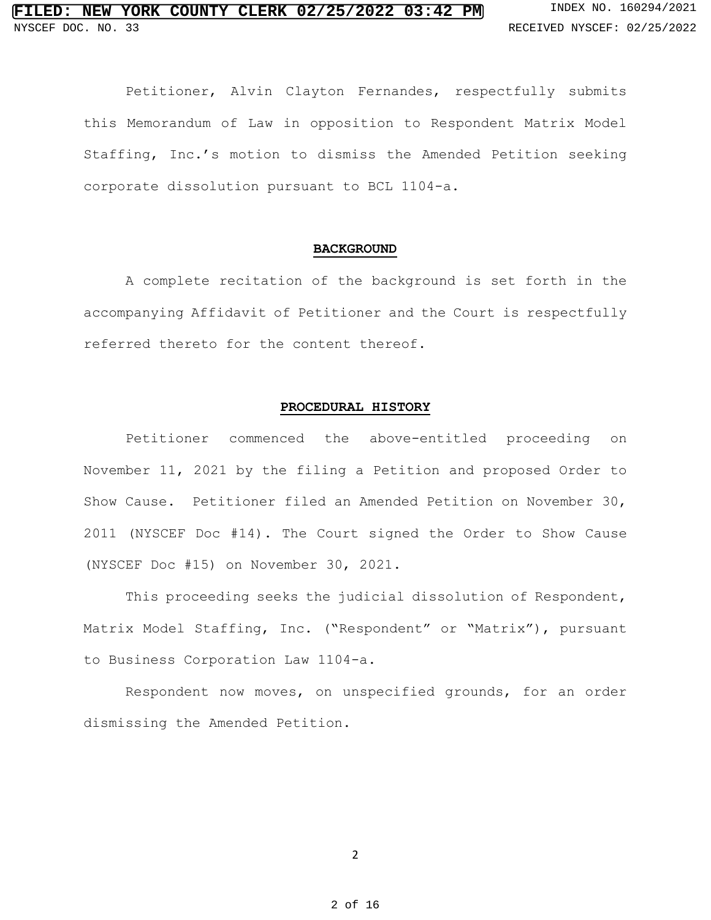Petitioner, Alvin Clayton Fernandes, respectfully submits this Memorandum of Law in opposition to Respondent Matrix Model Staffing, Inc.'s motion to dismiss the Amended Petition seeking corporate dissolution pursuant to BCL 1104-a.

#### **BACKGROUND**

 A complete recitation of the background is set forth in the accompanying Affidavit of Petitioner and the Court is respectfully referred thereto for the content thereof.

### **PROCEDURAL HISTORY**

Petitioner commenced the above-entitled proceeding on November 11, 2021 by the filing a Petition and proposed Order to Show Cause. Petitioner filed an Amended Petition on November 30, 2011 (NYSCEF Doc #14). The Court signed the Order to Show Cause (NYSCEF Doc #15) on November 30, 2021.

This proceeding seeks the judicial dissolution of Respondent, Matrix Model Staffing, Inc. ("Respondent" or "Matrix"), pursuant to Business Corporation Law 1104-a.

Respondent now moves, on unspecified grounds, for an order dismissing the Amended Petition.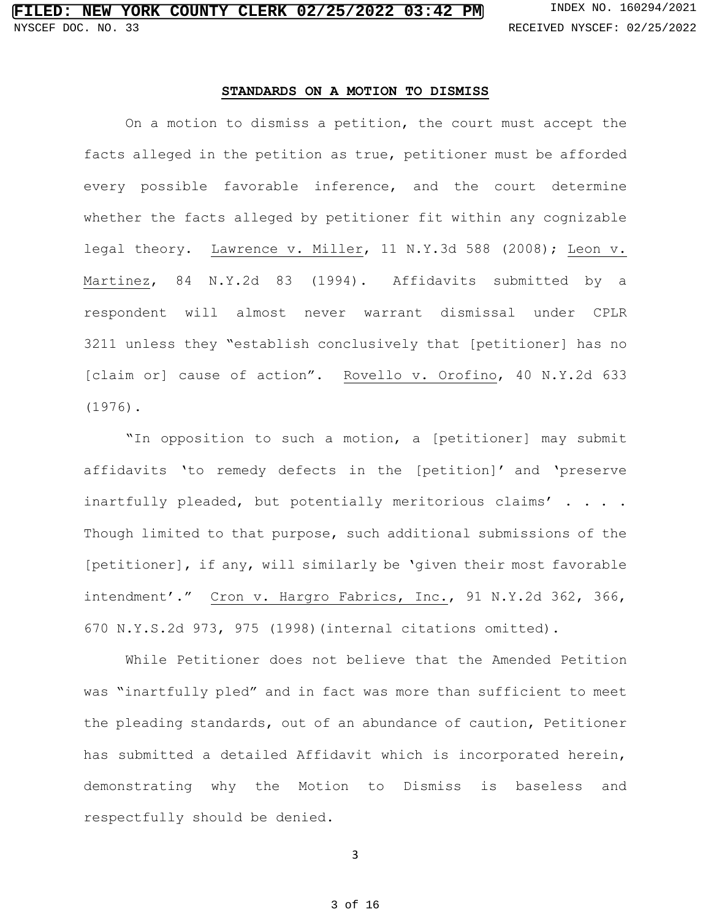### **STANDARDS ON A MOTION TO DISMISS**

On a motion to dismiss a petition, the court must accept the facts alleged in the petition as true, petitioner must be afforded every possible favorable inference, and the court determine whether the facts alleged by petitioner fit within any cognizable legal theory. Lawrence v. Miller, 11 N.Y.3d 588 (2008); Leon v. Martinez, 84 N.Y.2d 83 (1994). Affidavits submitted by a respondent will almost never warrant dismissal under CPLR 3211 unless they "establish conclusively that [petitioner] has no [claim or] cause of action". Rovello v. Orofino, 40 N.Y.2d 633 (1976).

"In opposition to such a motion, a [petitioner] may submit affidavits 'to remedy defects in the [petition]' and 'preserve inartfully pleaded, but potentially meritorious claims' . . . . Though limited to that purpose, such additional submissions of the [petitioner], if any, will similarly be 'given their most favorable intendment'." Cron v. Hargro Fabrics, Inc., 91 N.Y.2d 362, 366, 670 N.Y.S.2d 973, 975 (1998)(internal citations omitted).

While Petitioner does not believe that the Amended Petition was "inartfully pled" and in fact was more than sufficient to meet the pleading standards, out of an abundance of caution, Petitioner has submitted a detailed Affidavit which is incorporated herein, demonstrating why the Motion to Dismiss is baseless and respectfully should be denied.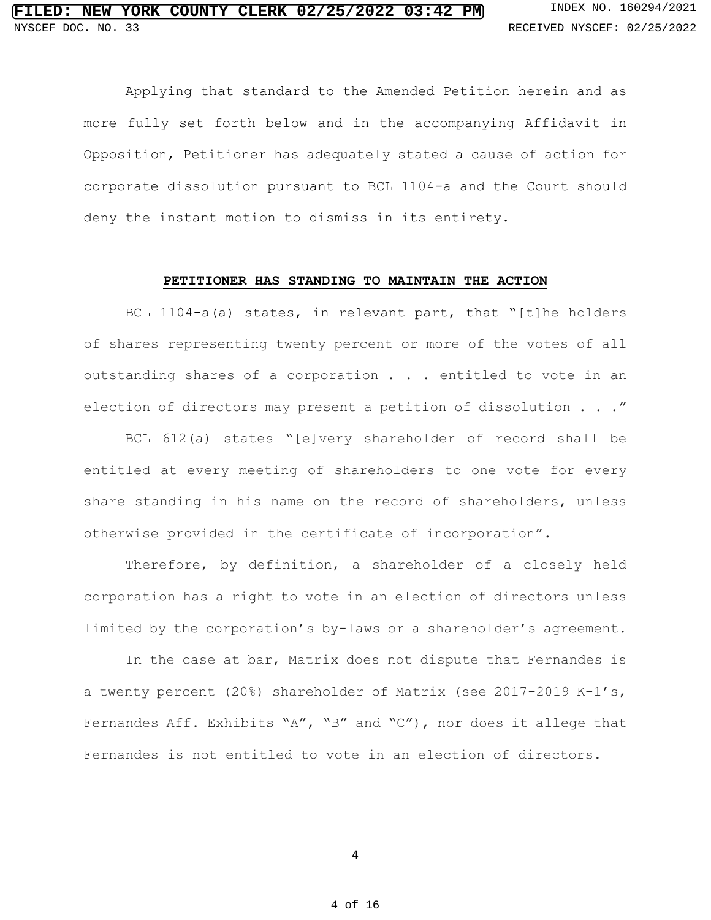Applying that standard to the Amended Petition herein and as more fully set forth below and in the accompanying Affidavit in Opposition, Petitioner has adequately stated a cause of action for corporate dissolution pursuant to BCL 1104-a and the Court should deny the instant motion to dismiss in its entirety.

### **PETITIONER HAS STANDING TO MAINTAIN THE ACTION**

 BCL 1104-a(a) states, in relevant part, that "[t]he holders of shares representing twenty percent or more of the votes of all outstanding shares of a corporation . . . entitled to vote in an election of directors may present a petition of dissolution . . ."

BCL 612(a) states "[e]very shareholder of record shall be entitled at every meeting of shareholders to one vote for every share standing in his name on the record of shareholders, unless otherwise provided in the certificate of incorporation".

Therefore, by definition, a shareholder of a closely held corporation has a right to vote in an election of directors unless limited by the corporation's by-laws or a shareholder's agreement.

 In the case at bar, Matrix does not dispute that Fernandes is a twenty percent (20%) shareholder of Matrix (see 2017-2019 K-1's, Fernandes Aff. Exhibits "A", "B" and "C"), nor does it allege that Fernandes is not entitled to vote in an election of directors.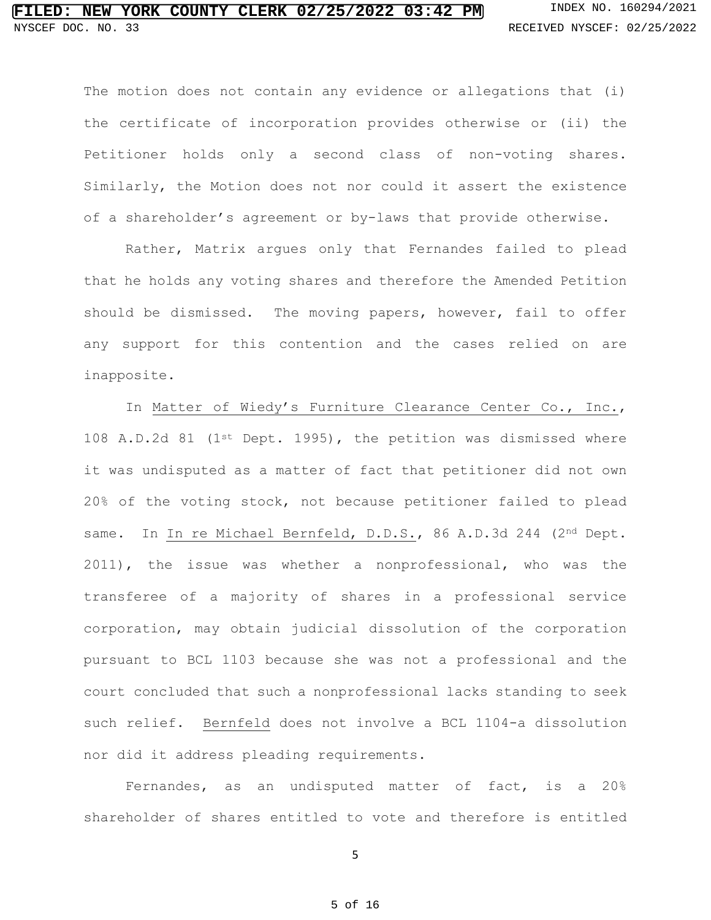The motion does not contain any evidence or allegations that (i) the certificate of incorporation provides otherwise or (ii) the Petitioner holds only a second class of non-voting shares. Similarly, the Motion does not nor could it assert the existence of a shareholder's agreement or by-laws that provide otherwise.

Rather, Matrix argues only that Fernandes failed to plead that he holds any voting shares and therefore the Amended Petition should be dismissed. The moving papers, however, fail to offer any support for this contention and the cases relied on are inapposite.

In Matter of Wiedy's Furniture Clearance Center Co., Inc., 108 A.D.2d 81 (1st Dept. 1995), the petition was dismissed where it was undisputed as a matter of fact that petitioner did not own 20% of the voting stock, not because petitioner failed to plead same. In In re Michael Bernfeld, D.D.S., 86 A.D.3d 244 (2<sup>nd</sup> Dept. 2011), the issue was whether a nonprofessional, who was the transferee of a majority of shares in a professional service corporation, may obtain judicial dissolution of the corporation pursuant to BCL 1103 because she was not a professional and the court concluded that such a nonprofessional lacks standing to seek such relief. Bernfeld does not involve a BCL 1104-a dissolution nor did it address pleading requirements.

Fernandes, as an undisputed matter of fact, is a 20% shareholder of shares entitled to vote and therefore is entitled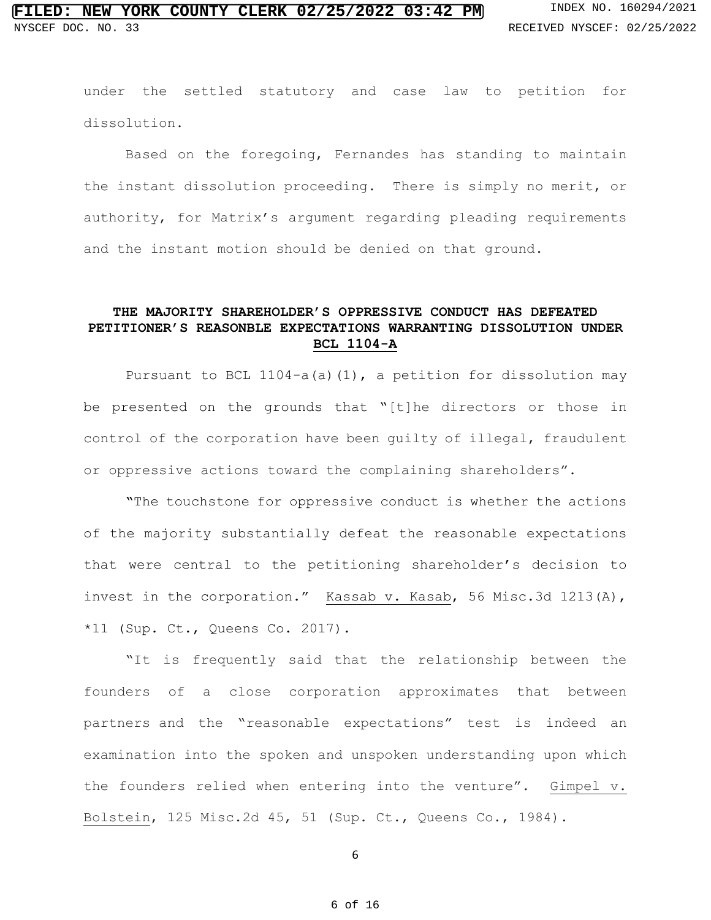under the settled statutory and case law to petition for dissolution.

 Based on the foregoing, Fernandes has standing to maintain the instant dissolution proceeding. There is simply no merit, or authority, for Matrix's argument regarding pleading requirements and the instant motion should be denied on that ground.

## **THE MAJORITY SHAREHOLDER'S OPPRESSIVE CONDUCT HAS DEFEATED PETITIONER'S REASONBLE EXPECTATIONS WARRANTING DISSOLUTION UNDER BCL 1104-A**

Pursuant to BCL 1104-a(a)(1), a petition for dissolution may be presented on the grounds that "[t]he directors or those in control of the corporation have been guilty of illegal, fraudulent or oppressive actions toward the complaining shareholders".

**"**The touchstone for oppressive conduct is whether the actions of the majority substantially defeat the reasonable expectations that were central to the petitioning shareholder's decision to invest in the corporation." Kassab v. Kasab, 56 Misc.3d 1213(A), \*11 (Sup. Ct., Queens Co. 2017).

"It is frequently said that the relationship between the founders of a close corporation approximates that between partners and the "reasonable expectations" test is indeed an examination into the spoken and unspoken understanding upon which the founders relied when entering into the venture". Gimpel v. Bolstein, 125 Misc.2d 45, 51 (Sup. Ct., Queens Co., 1984).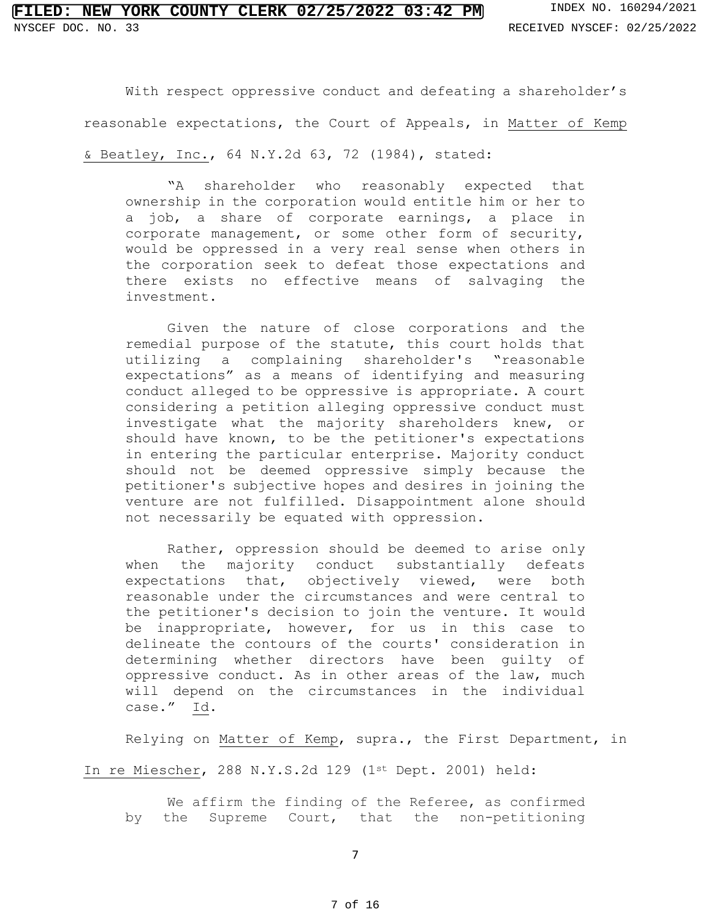With respect oppressive conduct and defeating a shareholder's reasonable expectations, the Court of Appeals, in Matter of Kemp & Beatley, Inc., 64 N.Y.2d 63, 72 (1984), stated:

"A shareholder who reasonably expected that ownership in the corporation would entitle him or her to a job, a share of corporate earnings, a place in corporate management, or some other form of security, would be oppressed in a very real sense when others in the corporation seek to defeat those expectations and there exists no effective means of salvaging the investment.

Given the nature of close corporations and the remedial purpose of the statute, this court holds that utilizing a complaining shareholder's "reasonable expectations" as a means of identifying and measuring conduct alleged to be oppressive is appropriate. A court considering a petition alleging oppressive conduct must investigate what the majority shareholders knew, or should have known, to be the petitioner's expectations in entering the particular enterprise. Majority conduct should not be deemed oppressive simply because the petitioner's subjective hopes and desires in joining the venture are not fulfilled. Disappointment alone should not necessarily be equated with oppression.

Rather, oppression should be deemed to arise only when the majority conduct substantially defeats expectations that, objectively viewed, were both reasonable under the circumstances and were central to the petitioner's decision to join the venture. It would be inappropriate, however, for us in this case to delineate the contours of the courts' consideration in determining whether directors have been guilty of oppressive conduct. As in other areas of the law, much will depend on the circumstances in the individual case." Id.

Relying on Matter of Kemp, supra., the First Department, in

In re Miescher, 288 N.Y.S.2d 129 (1st Dept. 2001) held:

We affirm the finding of the Referee, as confirmed by the Supreme Court, that the non-petitioning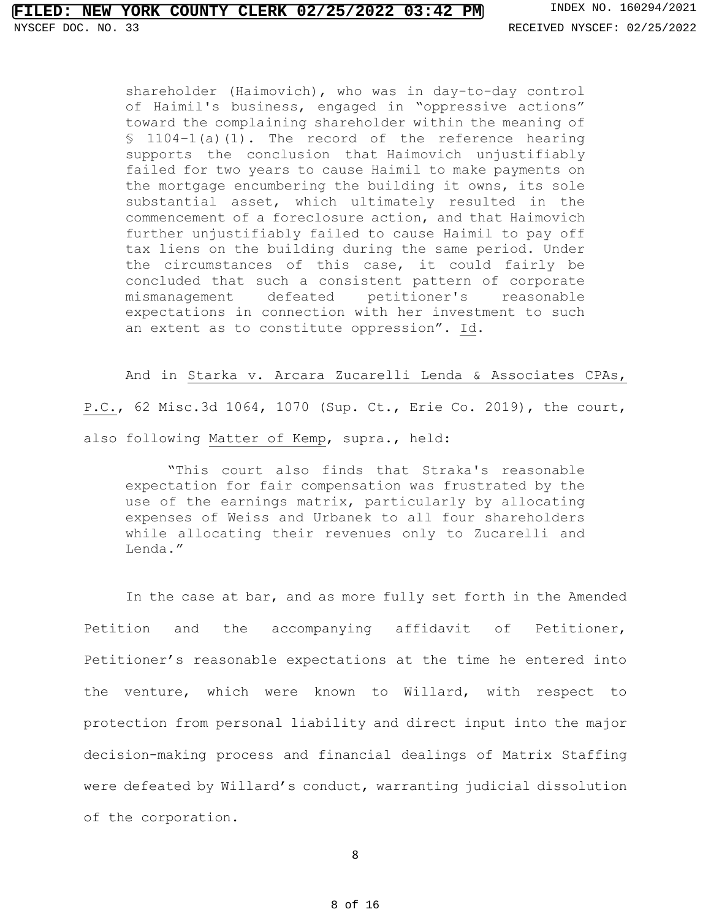shareholder (Haimovich), who was in day-to-day control of Haimil's business, engaged in "oppressive actions" toward the complaining shareholder within the meaning of  $$ 1104-1(a)(1)$ . The record of the reference hearing supports the conclusion that Haimovich unjustifiably failed for two years to cause Haimil to make payments on the mortgage encumbering the building it owns, its sole substantial asset, which ultimately resulted in the commencement of a foreclosure action, and that Haimovich further unjustifiably failed to cause Haimil to pay off tax liens on the building during the same period. Under the circumstances of this case, it could fairly be concluded that such a consistent pattern of corporate mismanagement defeated petitioner's reasonable expectations in connection with her investment to such an extent as to constitute oppression". Id.

And in Starka v. Arcara Zucarelli Lenda & Associates CPAs,

P.C., 62 Misc.3d 1064, 1070 (Sup. Ct., Erie Co. 2019), the court, also following Matter of Kemp, supra., held:

"This court also finds that Straka's reasonable expectation for fair compensation was frustrated by the use of the earnings matrix, particularly by allocating expenses of Weiss and Urbanek to all four shareholders while allocating their revenues only to Zucarelli and Lenda."

In the case at bar, and as more fully set forth in the Amended Petition and the accompanying affidavit of Petitioner, Petitioner's reasonable expectations at the time he entered into the venture, which were known to Willard, with respect to protection from personal liability and direct input into the major decision-making process and financial dealings of Matrix Staffing were defeated by Willard's conduct, warranting judicial dissolution of the corporation.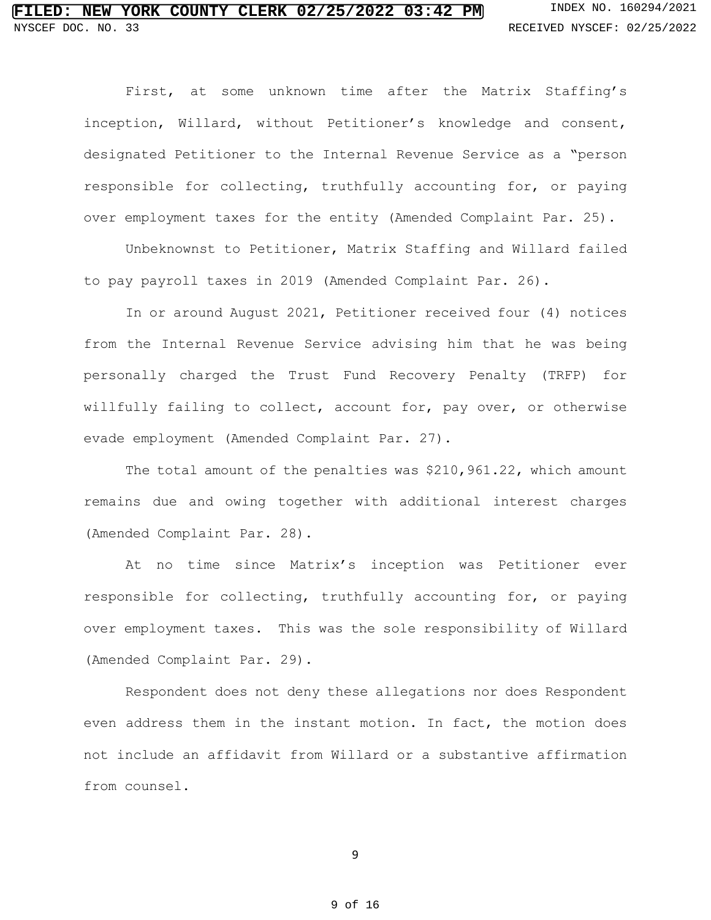First, at some unknown time after the Matrix Staffing's inception, Willard, without Petitioner's knowledge and consent, designated Petitioner to the Internal Revenue Service as a "person responsible for collecting, truthfully accounting for, or paying over employment taxes for the entity (Amended Complaint Par. 25).

Unbeknownst to Petitioner, Matrix Staffing and Willard failed to pay payroll taxes in 2019 (Amended Complaint Par. 26).

In or around August 2021, Petitioner received four (4) notices from the Internal Revenue Service advising him that he was being personally charged the Trust Fund Recovery Penalty (TRFP) for willfully failing to collect, account for, pay over, or otherwise evade employment (Amended Complaint Par. 27).

The total amount of the penalties was \$210,961.22, which amount remains due and owing together with additional interest charges (Amended Complaint Par. 28).

At no time since Matrix's inception was Petitioner ever responsible for collecting, truthfully accounting for, or paying over employment taxes. This was the sole responsibility of Willard (Amended Complaint Par. 29).

Respondent does not deny these allegations nor does Respondent even address them in the instant motion. In fact, the motion does not include an affidavit from Willard or a substantive affirmation from counsel.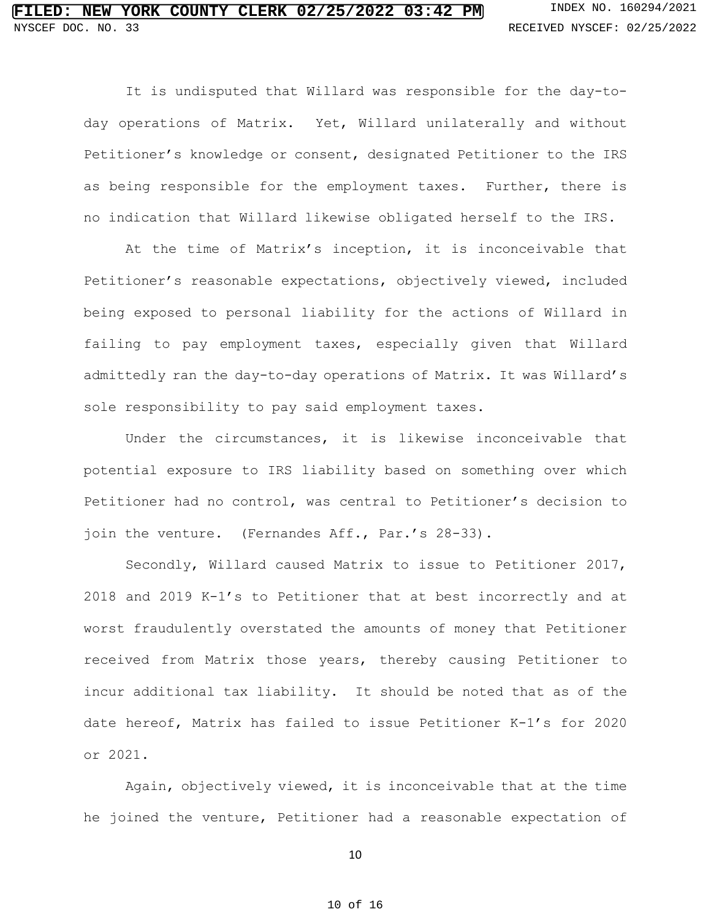It is undisputed that Willard was responsible for the day-today operations of Matrix. Yet, Willard unilaterally and without Petitioner's knowledge or consent, designated Petitioner to the IRS as being responsible for the employment taxes. Further, there is no indication that Willard likewise obligated herself to the IRS.

At the time of Matrix's inception, it is inconceivable that Petitioner's reasonable expectations, objectively viewed, included being exposed to personal liability for the actions of Willard in failing to pay employment taxes, especially given that Willard admittedly ran the day-to-day operations of Matrix. It was Willard's sole responsibility to pay said employment taxes.

Under the circumstances, it is likewise inconceivable that potential exposure to IRS liability based on something over which Petitioner had no control, was central to Petitioner's decision to join the venture. (Fernandes Aff., Par.'s 28-33).

Secondly, Willard caused Matrix to issue to Petitioner 2017, 2018 and 2019 K-1's to Petitioner that at best incorrectly and at worst fraudulently overstated the amounts of money that Petitioner received from Matrix those years, thereby causing Petitioner to incur additional tax liability. It should be noted that as of the date hereof, Matrix has failed to issue Petitioner K-1's for 2020 or 2021.

Again, objectively viewed, it is inconceivable that at the time he joined the venture, Petitioner had a reasonable expectation of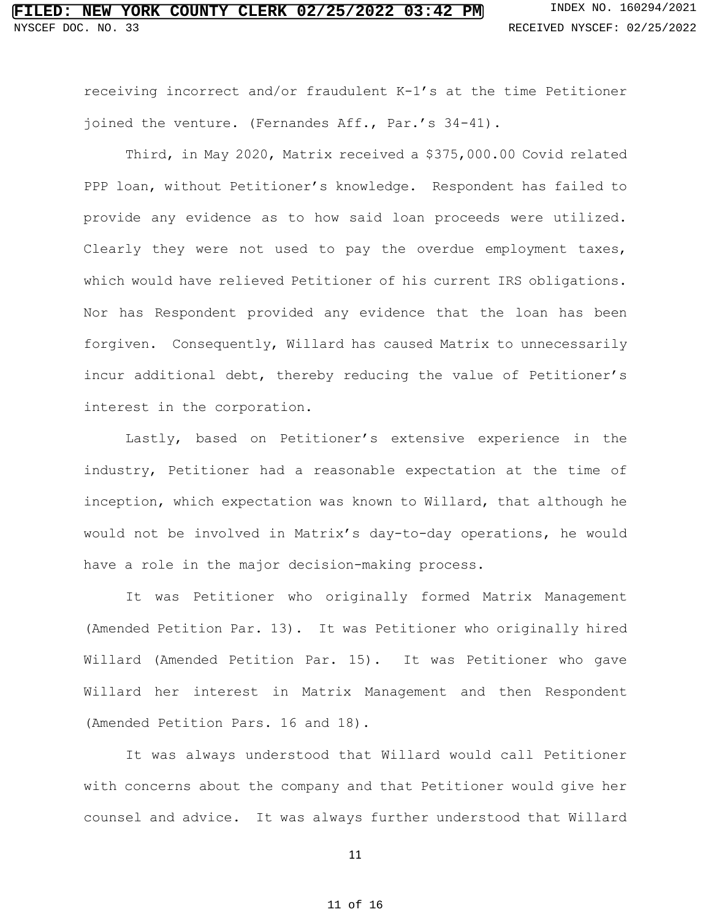receiving incorrect and/or fraudulent K-1's at the time Petitioner joined the venture. (Fernandes Aff., Par.'s 34-41).

Third, in May 2020, Matrix received a \$375,000.00 Covid related PPP loan, without Petitioner's knowledge. Respondent has failed to provide any evidence as to how said loan proceeds were utilized. Clearly they were not used to pay the overdue employment taxes, which would have relieved Petitioner of his current IRS obligations. Nor has Respondent provided any evidence that the loan has been forgiven. Consequently, Willard has caused Matrix to unnecessarily incur additional debt, thereby reducing the value of Petitioner's interest in the corporation.

Lastly, based on Petitioner's extensive experience in the industry, Petitioner had a reasonable expectation at the time of inception, which expectation was known to Willard, that although he would not be involved in Matrix's day-to-day operations, he would have a role in the major decision-making process.

It was Petitioner who originally formed Matrix Management (Amended Petition Par. 13). It was Petitioner who originally hired Willard (Amended Petition Par. 15). It was Petitioner who gave Willard her interest in Matrix Management and then Respondent (Amended Petition Pars. 16 and 18).

It was always understood that Willard would call Petitioner with concerns about the company and that Petitioner would give her counsel and advice. It was always further understood that Willard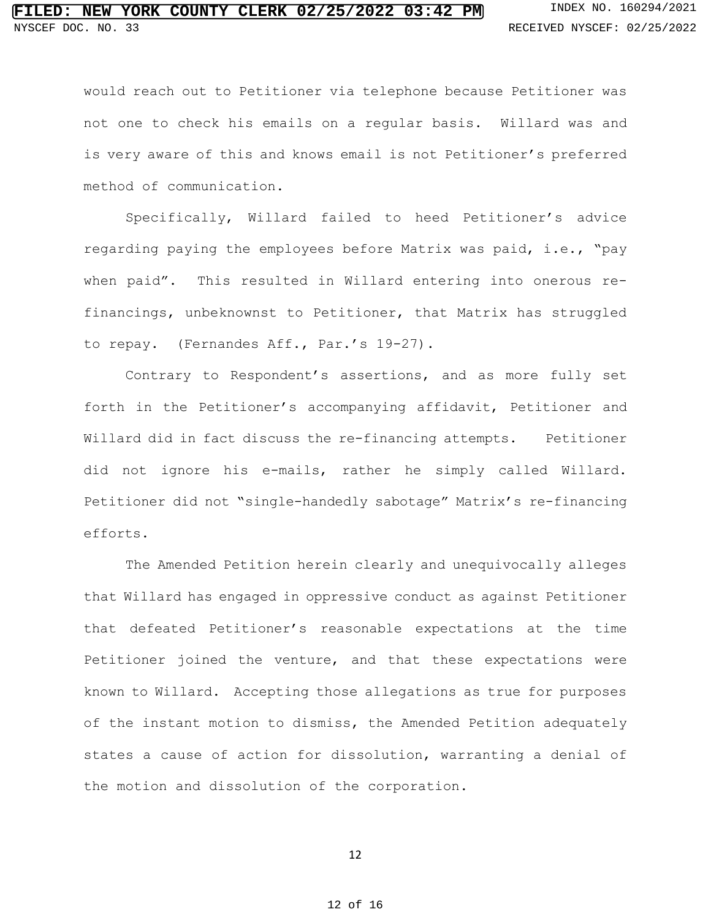## LED: NEW YORK COUNTY CLERK 02/25/2022 03:42 PM INDEX NO. 160294/2021 NYSCEF DOC. NO. 33 **RECEIVED NYSCEF: 02/25/2022**

would reach out to Petitioner via telephone because Petitioner was not one to check his emails on a regular basis. Willard was and is very aware of this and knows email is not Petitioner's preferred method of communication.

Specifically, Willard failed to heed Petitioner's advice regarding paying the employees before Matrix was paid, i.e., "pay when paid". This resulted in Willard entering into onerous refinancings, unbeknownst to Petitioner, that Matrix has struggled to repay. (Fernandes Aff., Par.'s 19-27).

Contrary to Respondent's assertions, and as more fully set forth in the Petitioner's accompanying affidavit, Petitioner and Willard did in fact discuss the re-financing attempts. Petitioner did not ignore his e-mails, rather he simply called Willard. Petitioner did not "single-handedly sabotage" Matrix's re-financing efforts.

The Amended Petition herein clearly and unequivocally alleges that Willard has engaged in oppressive conduct as against Petitioner that defeated Petitioner's reasonable expectations at the time Petitioner joined the venture, and that these expectations were known to Willard. Accepting those allegations as true for purposes of the instant motion to dismiss, the Amended Petition adequately states a cause of action for dissolution, warranting a denial of the motion and dissolution of the corporation.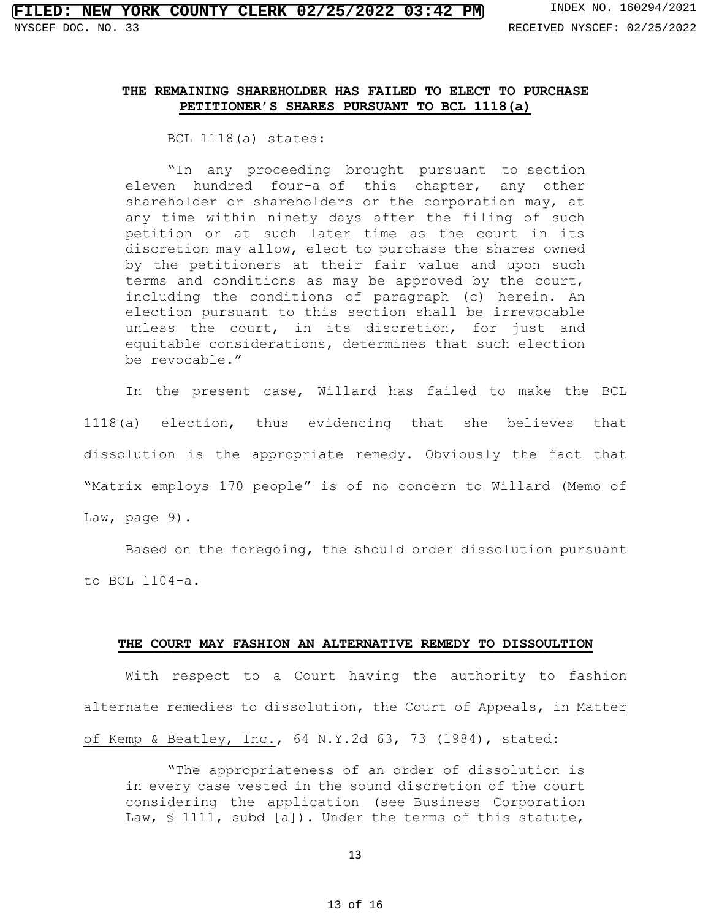## **THE REMAINING SHAREHOLDER HAS FAILED TO ELECT TO PURCHASE PETITIONER'S SHARES PURSUANT TO BCL 1118(a)**

BCL 1118(a) states:

"In any proceeding brought pursuant to [section](https://1.next.westlaw.com/Link/Document/FullText?findType=L&pubNum=1000057&cite=NYBUS1104-A&originatingDoc=N450596E0881311D882FF83A3182D7B4A&refType=LQ&originationContext=document&transitionType=DocumentItem&ppcid=d88e697cbde548178d57622d1d5e24d4&contextData=(sc.UserEnteredCitation))  [eleven hundred four-a](https://1.next.westlaw.com/Link/Document/FullText?findType=L&pubNum=1000057&cite=NYBUS1104-A&originatingDoc=N450596E0881311D882FF83A3182D7B4A&refType=LQ&originationContext=document&transitionType=DocumentItem&ppcid=d88e697cbde548178d57622d1d5e24d4&contextData=(sc.UserEnteredCitation)) of this chapter, any other shareholder or shareholders or the corporation may, at any time within ninety days after the filing of such petition or at such later time as the court in its discretion may allow, elect to purchase the shares owned by the petitioners at their fair value and upon such terms and conditions as may be approved by the court, including the conditions of paragraph (c) herein. An election pursuant to this section shall be irrevocable unless the court, in its discretion, for just and equitable considerations, determines that such election be revocable."

In the present case, Willard has failed to make the BCL 1118(a) election, thus evidencing that she believes that dissolution is the appropriate remedy. Obviously the fact that "Matrix employs 170 people" is of no concern to Willard (Memo of Law, page 9).

Based on the foregoing, the should order dissolution pursuant to BCL 1104-a.

### **THE COURT MAY FASHION AN ALTERNATIVE REMEDY TO DISSOULTION**

With respect to a Court having the authority to fashion alternate remedies to dissolution, the Court of Appeals, in Matter of Kemp & Beatley, Inc., 64 N.Y.2d 63, 73 (1984), stated:

"The appropriateness of an order of dissolution is in every case vested in the sound discretion of the court considering the application (see [Business Corporation](https://1.next.westlaw.com/Link/Document/FullText?findType=L&pubNum=1000057&cite=NYBUS1111&originatingDoc=I538304a8d91b11d98ac8f235252e36df&refType=LQ&originationContext=document&transitionType=DocumentItem&ppcid=06349de779c5441ebbbf102b422b27c4&contextData=(sc.UserEnteredCitation))  [Law, § 1111,](https://1.next.westlaw.com/Link/Document/FullText?findType=L&pubNum=1000057&cite=NYBUS1111&originatingDoc=I538304a8d91b11d98ac8f235252e36df&refType=LQ&originationContext=document&transitionType=DocumentItem&ppcid=06349de779c5441ebbbf102b422b27c4&contextData=(sc.UserEnteredCitation)) subd [a]). Under the terms of this statute,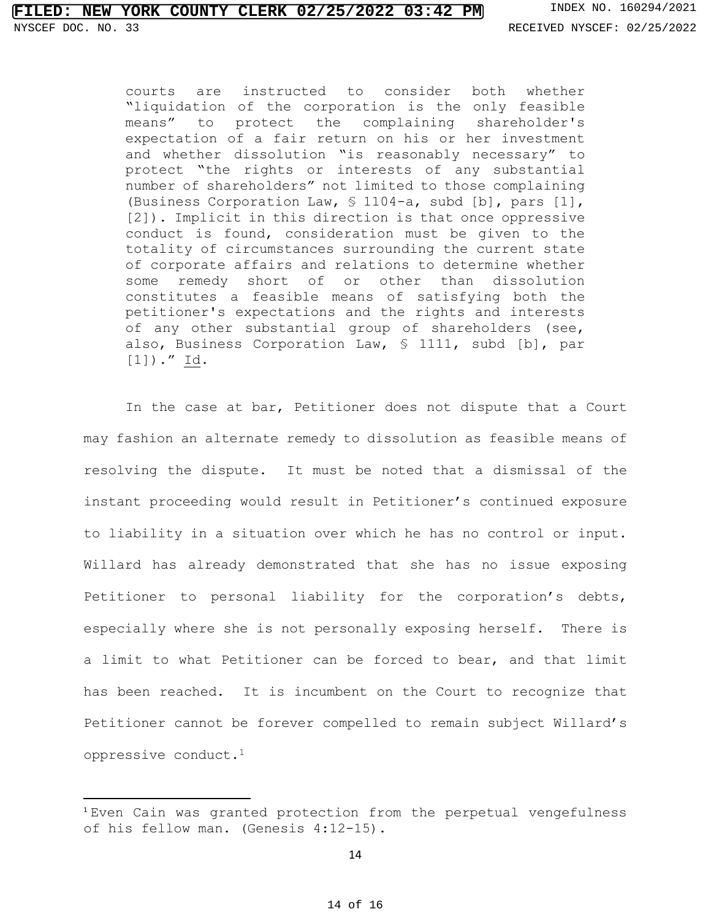courts are instructed to consider both whether "liquidation of the corporation is the only feasible means" to protect the complaining shareholder's expectation of a fair return on his or her investment and whether dissolution "is reasonably necessary" to protect "the rights or interests of any substantial number of shareholders" not limited to those complaining [\(Business Corporation Law, § 1104-a,](https://1.next.westlaw.com/Link/Document/FullText?findType=L&pubNum=1000057&cite=NYBUS1104-A&originatingDoc=I538304a8d91b11d98ac8f235252e36df&refType=LQ&originationContext=document&transitionType=DocumentItem&ppcid=06349de779c5441ebbbf102b422b27c4&contextData=(sc.UserEnteredCitation)) subd [b], pars [1], [2]). Implicit in this direction is that once oppressive conduct is found, consideration must be given to the totality of circumstances surrounding the current state of corporate affairs and relations to determine whether some remedy short of or other than dissolution constitutes a feasible means of satisfying both the petitioner's expectations and the rights and interests of any other substantial group of shareholders (see, also, [Business Corporation Law, § 1111,](https://1.next.westlaw.com/Link/Document/FullText?findType=L&pubNum=1000057&cite=NYBUS1111&originatingDoc=I538304a8d91b11d98ac8f235252e36df&refType=LQ&originationContext=document&transitionType=DocumentItem&ppcid=06349de779c5441ebbbf102b422b27c4&contextData=(sc.UserEnteredCitation)) subd [b], par [1])." Id.

 In the case at bar, Petitioner does not dispute that a Court may fashion an alternate remedy to dissolution as feasible means of resolving the dispute. It must be noted that a dismissal of the instant proceeding would result in Petitioner's continued exposure to liability in a situation over which he has no control or input. Willard has already demonstrated that she has no issue exposing Petitioner to personal liability for the corporation's debts, especially where she is not personally exposing herself. There is a limit to what Petitioner can be forced to bear, and that limit has been reached. It is incumbent on the Court to recognize that Petitioner cannot be forever compelled to remain subject Willard's oppressive conduct.<sup>1</sup>

<sup>1</sup> Even Cain was granted protection from the perpetual vengefulness of his fellow man. (Genesis 4:12-15).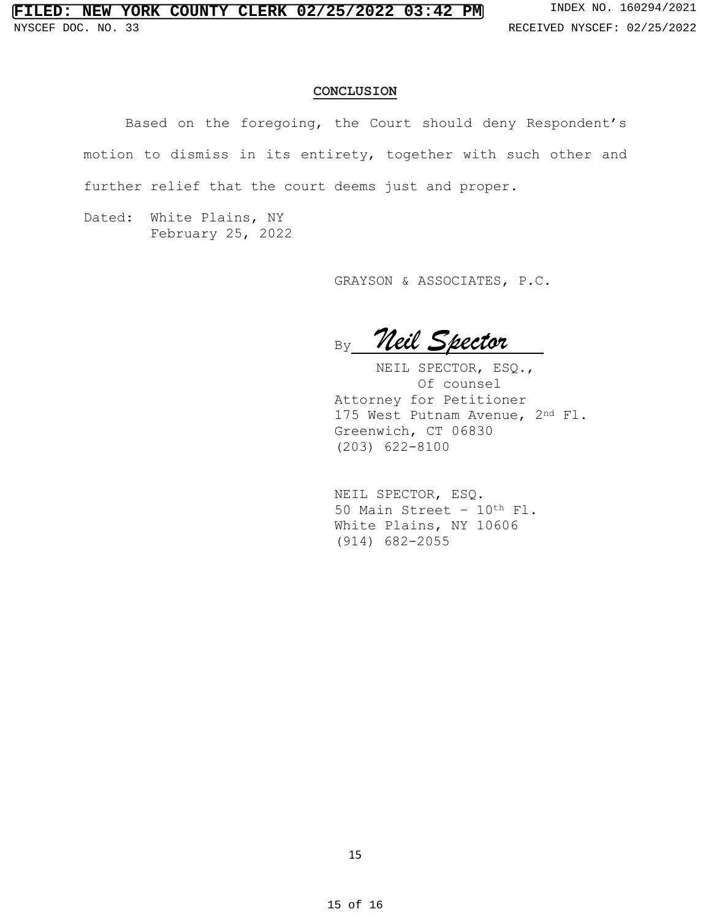### **CONCLUSION**

Based on the foregoing, the Court should deny Respondent's motion to dismiss in its entirety, together with such other and further relief that the court deems just and proper.

Dated: White Plains, NY February 25, 2022

GRAYSON & ASSOCIATES, P.C.

By Neil Spector

NEIL SPECTOR, ESQ., Of counsel Attorney for Petitioner 175 West Putnam Avenue, 2nd Fl. Greenwich, CT 06830 (203) 622-8100

NEIL SPECTOR, ESQ. 50 Main Street – 10th Fl. White Plains, NY 10606 (914) 682-2055